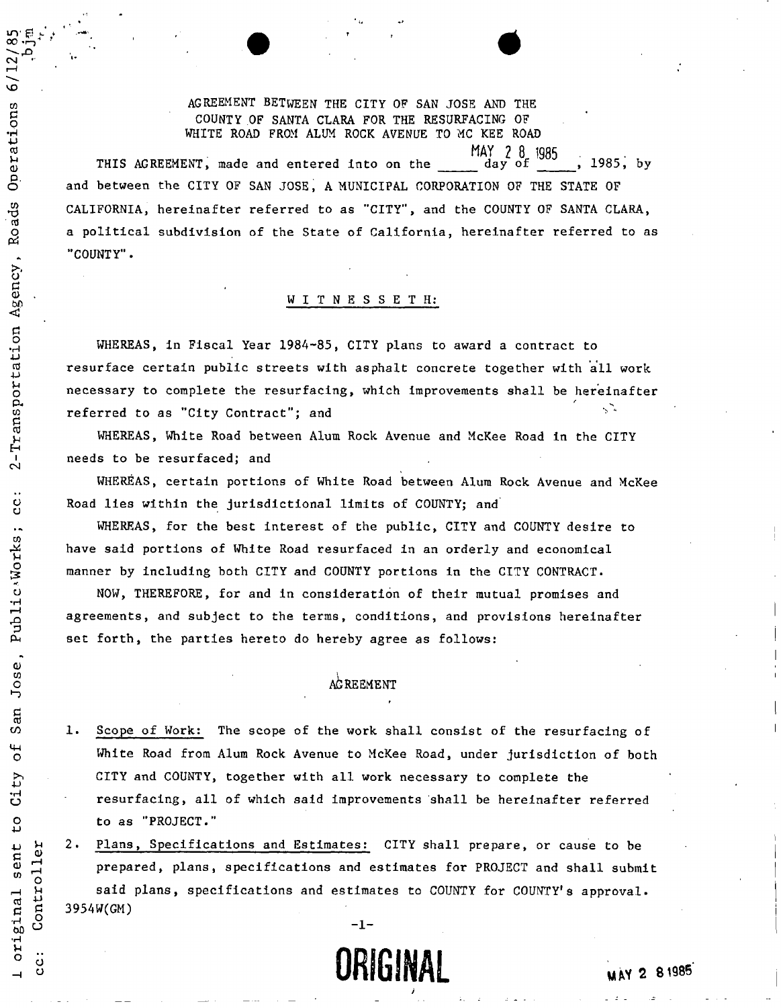AGREEMENT BETWEEN THE CITY OF SAN JOSE AND THE COUNTY OF SANTA CLARA FOR THE RESURFACING OF WHITE ROAD FROM ALUM ROCK AVENUE TO MC KEE ROAD

 $\infty$  .  $\sim$   $\sim$ 

Operations 6/

Roads

 $\ddot{\phantom{1}}$ 

Agency

Transportation

 $\overline{2}$ 

 $rac{1}{2}$ 

Public<sup>.</sup>Works

Jose,

San

 $\overline{\mathbf{b}}$ 

 $t_{\rm V}$ ី<br>ប

 $\mathfrak{c}$ 

sent

original

CD.

H.

**MAY 2 8 1985**  THIS AGREEMENT, made and entered into on the day of  $\frac{3000}{1000}$ , 1985, by and between the CITY OF SAN JOSE, A MUNICIPAL CORPORATION OF THE STATE OF CALIFORNIA, hereinafter referred to as "CITY", and the COUNTY OF SANTA CLARA, a political subdivision of the State of California, hereinafter referred to as "COUNTY".

### WITNESSETH:

WHEREAS, in Fiscal Year 1984-85, CITY plans to award a contract to resurface certain public streets with asphalt concrete together with all work necessary to complete the resurfacing, which improvements shall be hereinafter referred to as "City Contract"; and

WHEREAS, White Road between Alum Rock Avenue and McKee Road in the CITY needs to be resurfaced; and

WHEREAS, certain portions of White Road between Alum Rock Avenue and McKee Road lies within the jurisdictional limits of COUNTY; and

WHEREAS, for the best interest of the public, CITY and COUNTY desire to have said portions of White Road resurfaced in an orderly and economical manner by including both CITY and COUNTY portions in the CITY CONTRACT.

NOW, THEREFORE, for and in consideration of their mutual promises and agreements, and subject to the terms, conditions, and provisions hereinafter set forth, the parties hereto do hereby agree as follows:

### AGREEMENT

1. Scope of Work: The scope of the work shall consist of the resurfacing of White Road from Alum Rock Avenue to McKee Road, under jurisdiction of both CITY and COUNTY, together with all work necessary to complete the resurfacing, all of which said improvements shall be hereinafter referred to as "PROJECT."

2. Plans, Specifications and Estimates: CITY shall prepare, or cause to be cations and Estimates: City shall prepare, or cause to be and the best of the best of the best of the best of <br>The best of the best of the best of the best of the best of the best of the best of the best of the best of th ^ prepared, plans, specifications and estimates for PROJECT and shall submit said plans, specifications and estimates to COUNTY for COUNTY's approval. 3954W(GM)



,  $2\left( \omega \right)$  ,  $2\left( \omega \right)$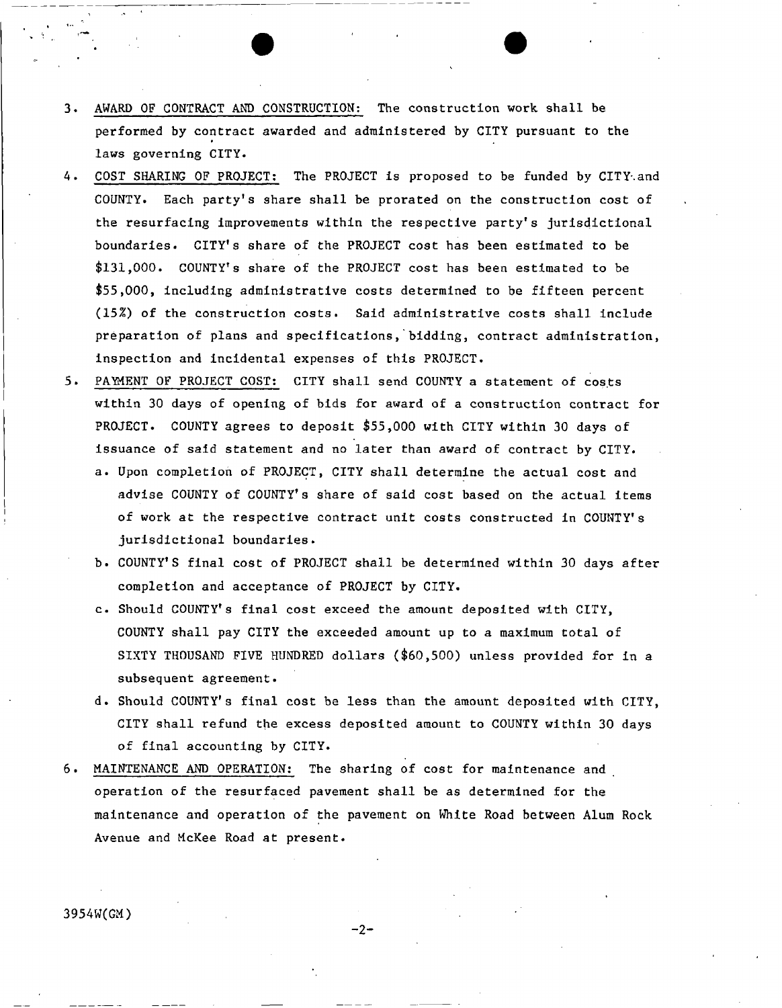- 3. AWARD OF CONTRACT AND CONSTRUCTION: The construction work shall be performed by contract awarded and administered by CITY pursuant to the laws governing CITY.
- 4. COST SHARING OF PROJECT: The PROJECT is proposed to be funded by CITY and COUNTY. Each party's share shall be prorated on the construction cost of the resurfacing improvements within the respective party's jurisdictional boundaries. CITY's share of the PROJECT cost has been estimated to be \$131,000. COUNTY'S share of the PROJECT cost has been estimated to be \$55,000, including administrative costs determined to be fifteen percent (15%) of the construction costs. Said administrative costs shall include preparation of plans and specifications, bidding, contract administration, inspection and incidental expenses of this PROJECT.
- 5 . PAYMENT OF PROJECT COST: CITY shall send COUNTY a statement of costs within 30 days of opening of bids for award of a construction contract for PROJECT. COUNTY agrees to deposit \$55,000 with CITY within 30 days of issuance of said statement and no later than award of contract by CITY.
	- a. Upon completion of PROJECT, CITY shall determine the actual cost and advise COUNTY of COUNTY's share of said cost based on the actual items of work at the respective contract unit costs constructed In COUNTY'S jurisdictional boundaries.
	- b . COUNTY'S final cost of PROJECT shall be determined within 30 days after completion and acceptance of PROJECT by CITY.
	- c . Should COUNTY'S final cost exceed the amount deposited with CITY, COUNTY shall pay CITY the exceeded amount up to a maximum total of SIXTY THOUSAND FIVE HUNDRED dollars (\$60,500) unless provided for in a subsequent agreement.
	- d. Should COUNTY's final cost be less than the amount deposited with CITY, CITY shall refund the excess deposited amount to COUNTY within 30 days of final accounting by CITY.
- 6 . MAINTENANCE AND OPERATION: The sharing of cost for maintenance and operation of the resurfaced pavement shall be as determined for the maintenance and operation of the pavement on White Road between Alum Rock Avenue and McKee Road at present.

**3954W(GM)** 

**-2-**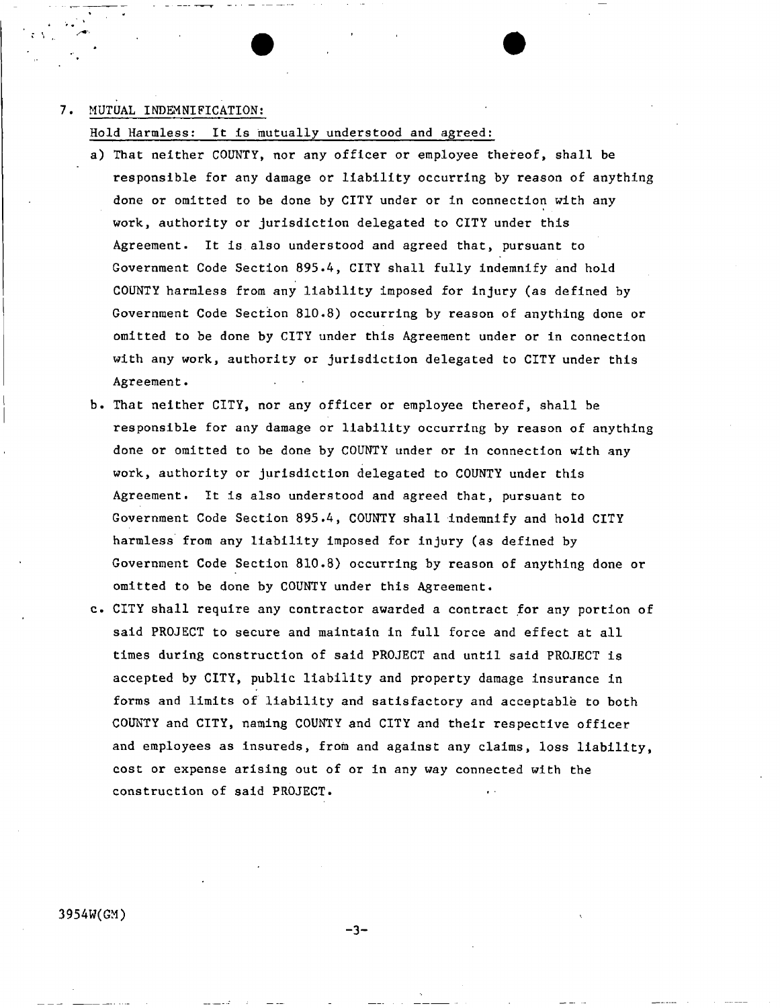### 7. MUTUAL INDEMNIFICATION;

Hold Harmless: It is mutually understood and agreed;

- a) That neither COUNTY, nor any officer or employee thereof, shall be responsible for any damage or liability occurring by reason of anything done or omitted to be done by CITY under or in connection with any work, authority or jurisdiction delegated to CITY under this Agreement. It is also understood and agreed that, pursuant to Government Code Section 895.4, CITY shall fully indemnify and hold COUNTY harmless from any liability imposed for injury (as defined by Government Code Section 810.8) occurring by reason of anything done or omitted to be done by CITY under this Agreement under or in connection with any work, authority or jurisdiction delegated to CITY under this Agreement.
- b . That neither CITY, nor any officer or employee thereof, shall be responsible for any damage or liability occurring by reason of anything done or omitted to be done by COUNTY under or in connection with any work, authority or jurisdiction delegated to COUNTY under this Agreement. It Is also understood and agreed that, pursuant to Government Code Section 895.4, COUNTY shall indemnify and hold CITY harmless from any liability imposed for injury (as defined by Government Code Section 810.8) occurring by reason of anything done or omitted to be done by COUNTY under this Agreement.
- c. CITY shall require any contractor awarded a contract for any portion of said PROJECT to secure and maintain in full force and effect at all times during construction of said PROJECT and until said PROJECT is accepted by CITY, public liability and property damage insurance in forms and limits of liability and satisfactory and acceptable to both COUNTY and CITY, naming COUNTY and CITY and their respective officer and employees as insureds, from and against any claims, loss liability, cost or expense arising out of or In any way connected with the construction of said PROJECT.

**-3-**

V

**3954W(GM)**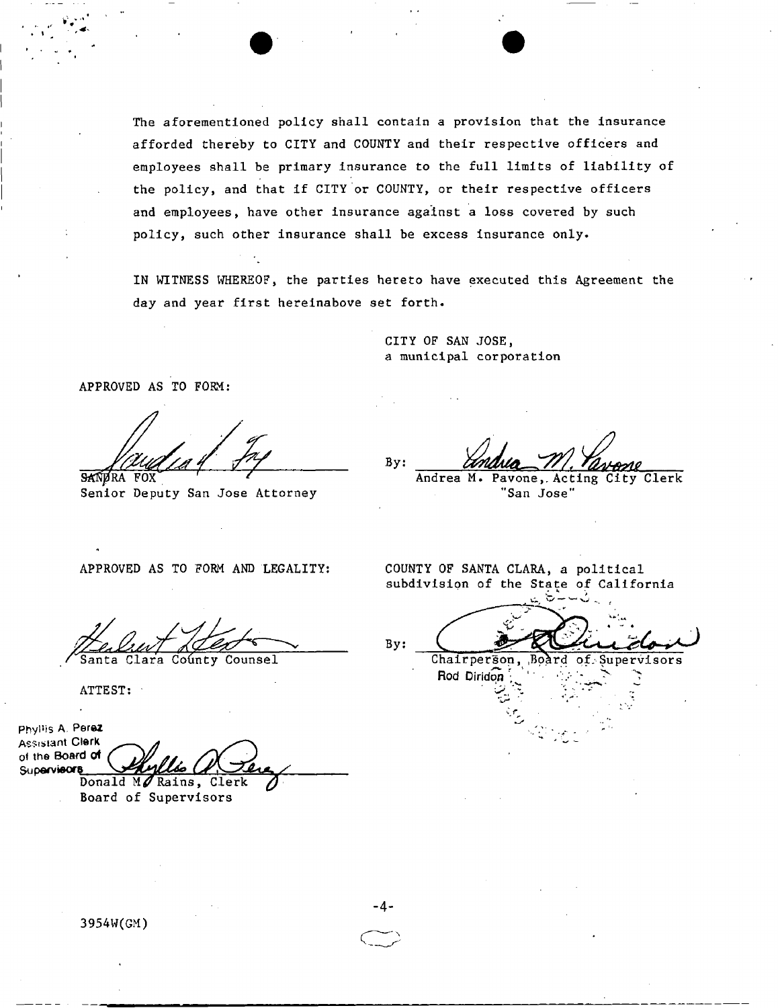The aforementioned policy shall contain a provision that the insurance afforded thereby to CITY and COUNTY and their respective officers and employees shall be primary insurance to the full limits of liability of the policy, and that if CITY or COUNTY, or their respective officers and employees, have other insurance against a loss covered by such policy, such other insurance shall be excess insurance only.

IN WITNESS WHEREOF, the parties hereto have executed this Agreement the day and year first hereinabove set forth.

> CITY OF SAN JOSE, a municipal corporation

APPROVED AS TO FORM:

SANDRA FOX

Senior Deputy San Jose Attorney

By: Andrea M. Pavone, Acting City Clerk

"San Jose"

APPROVED AS TO FORM AND LEGALITY:

 $\sqrt{2}$ aliw $\sqrt{2}$  Klex

Clara County Counsel

ATTEST:

Phyllis A. Perez **Assistant Clerk** of the **Board of**  Supervieor<sub>8</sub> Donald M $\sqrt{\mathcal{R}$ ains, Clerk  $\sqrt{\phantom{a}}$ 

Board of Supervisors

COUNTY OF SANTA CLARA, a political subdivision of the State of California

 $By:$ 

Chairperson Rod Diridon ard of.-Supervisors

المستق $\mathcal{I}^+$ *C r* 

**3954W(GM)** 

**-4-**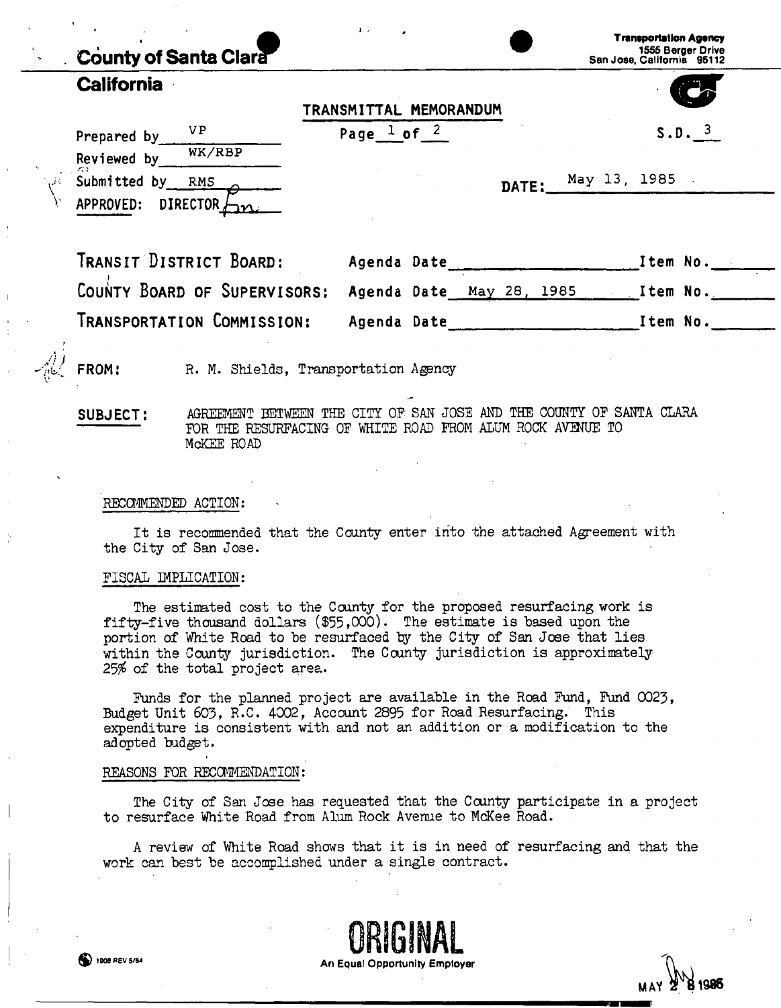# **California**

|    | Valitvi i lila             |                                     |                             |
|----|----------------------------|-------------------------------------|-----------------------------|
|    |                            | TRANSMITTAL MEMORANDUM              |                             |
|    | V P<br>Prepared by         | Page $\frac{1}{2}$ of $\frac{2}{3}$ | S.D.                        |
|    | WK/RBP<br>Reviewed by      |                                     |                             |
| Ĵζ | バコ<br>Submitted by<br>RMS  |                                     | DATE: $\frac{May 13}{1985}$ |
|    | DIRECTOR $km$<br>APPROVED: |                                     |                             |
|    |                            |                                     |                             |

| IRANSIT DISTRICT BOARD:                               | Agenda Date | Item No.   |
|-------------------------------------------------------|-------------|------------|
| COUNTY BOARD OF SUPERVISORS: Agenda Date May 28, 1985 |             | . Item No. |
| TRANSPORTATION COMMISSION:                            | Agenda Date | Item No.   |

FROM: R. M. Shields, Transportation Agency

**SUBJECT:** AGREEMENT BETWEEN THE CITY OF SAN JOSE AND THE COUNTY OF SANTA CLARA FOR THE RESURFACING OF WHITE ROAD FROM ALUM ROCK AVENUE TO McKEE ROAD

### RECOMMENDED ACTION:

It is recommended that the County enter into the attached Agreement with the City of San Jose.

### FISCAL IMPLICATION:

The estimated cost to the County for the proposed resurfacing work is fifty-five thousand dollars  $(\$55,000)$ . The estimate is based upon the portion of White Road to be resurfaced by the City of San Jose that lies within the County jurisdiction. The County jurisdiction is approximately 25\$ of the total project area.

Funds for the planned project are available in the Road Fund, Fund 0023, Budget Unit 603, R.C'. 4002, Account 2895 for Road Resurfacing. This expenditure is consistent with and not an addition or a modification to the adopted budget.

### REASONS FOR RECOMMENDATION:

The City of San Jose has requested that the County participate in a project to resurface White Road from Alum Rock Avenue to McKee Road.

A review of White Road shows that it is in need of resurfacing and that the work can best be accomplished under a single contract.





**M AY Z o 1986**